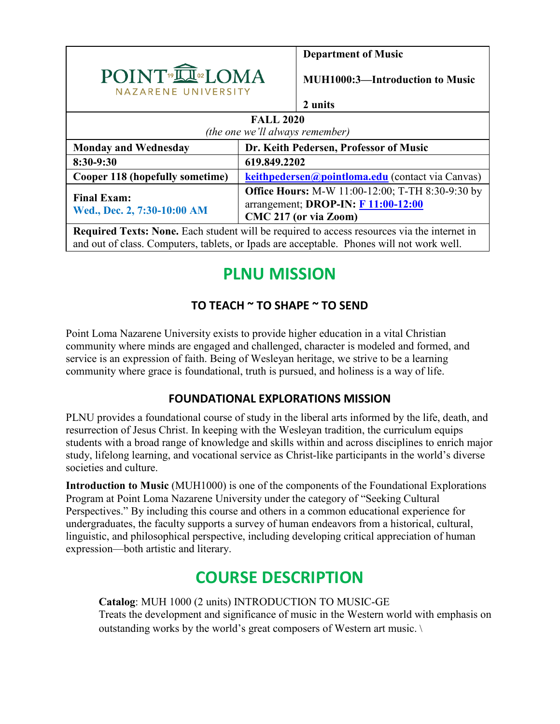

**Department of Music**

**MUH1000:3—Introduction to Music**

#### **2 units**

| <b>FALL 2020</b><br>(the one we'll always remember) |                                                                                                                                                                                                                                                                                                                |  |  |
|-----------------------------------------------------|----------------------------------------------------------------------------------------------------------------------------------------------------------------------------------------------------------------------------------------------------------------------------------------------------------------|--|--|
| <b>Monday and Wednesday</b>                         | Dr. Keith Pedersen, Professor of Music                                                                                                                                                                                                                                                                         |  |  |
| 8:30-9:30                                           | 619.849.2202                                                                                                                                                                                                                                                                                                   |  |  |
| Cooper 118 (hopefully sometime)                     | keithpedersen@pointloma.edu (contact via Canvas)                                                                                                                                                                                                                                                               |  |  |
| <b>Final Exam:</b><br>Wed., Dec. 2, 7:30-10:00 AM   | <b>Office Hours:</b> M-W 11:00-12:00; T-TH 8:30-9:30 by<br>arrangement; DROP-IN: F 11:00-12:00<br>CMC 217 (or via Zoom)                                                                                                                                                                                        |  |  |
|                                                     | $\mathbf{D}$ , and $\mathbf{M}$ , $\mathbf{P}$ and $\mathbf{M}$ , $\mathbf{M}$ , $\mathbf{P}$ and $\mathbf{M}$ , $\mathbf{M}$ , $\mathbf{M}$ , $\mathbf{M}$ , $\mathbf{M}$ , $\mathbf{M}$ , $\mathbf{M}$ , $\mathbf{M}$ , $\mathbf{M}$ , $\mathbf{M}$ , $\mathbf{M}$ , $\mathbf{M}$ , $\mathbf{M}$ , $\mathbf$ |  |  |

**Required Texts: None.** Each student will be required to access resources via the internet in and out of class. Computers, tablets, or Ipads are acceptable. Phones will not work well.

# **PLNU MISSION**

# **TO TEACH ~ TO SHAPE ~ TO SEND**

Point Loma Nazarene University exists to provide higher education in a vital Christian community where minds are engaged and challenged, character is modeled and formed, and service is an expression of faith. Being of Wesleyan heritage, we strive to be a learning community where grace is foundational, truth is pursued, and holiness is a way of life.

# **FOUNDATIONAL EXPLORATIONS MISSION**

PLNU provides a foundational course of study in the liberal arts informed by the life, death, and resurrection of Jesus Christ. In keeping with the Wesleyan tradition, the curriculum equips students with a broad range of knowledge and skills within and across disciplines to enrich major study, lifelong learning, and vocational service as Christ-like participants in the world's diverse societies and culture.

**Introduction to Music** (MUH1000) is one of the components of the Foundational Explorations Program at Point Loma Nazarene University under the category of "Seeking Cultural Perspectives." By including this course and others in a common educational experience for undergraduates, the faculty supports a survey of human endeavors from a historical, cultural, linguistic, and philosophical perspective, including developing critical appreciation of human expression—both artistic and literary.

# **COURSE DESCRIPTION**

**Catalog**: MUH 1000 (2 units) INTRODUCTION TO MUSIC-GE Treats the development and significance of music in the Western world with emphasis on outstanding works by the world's great composers of Western art music. \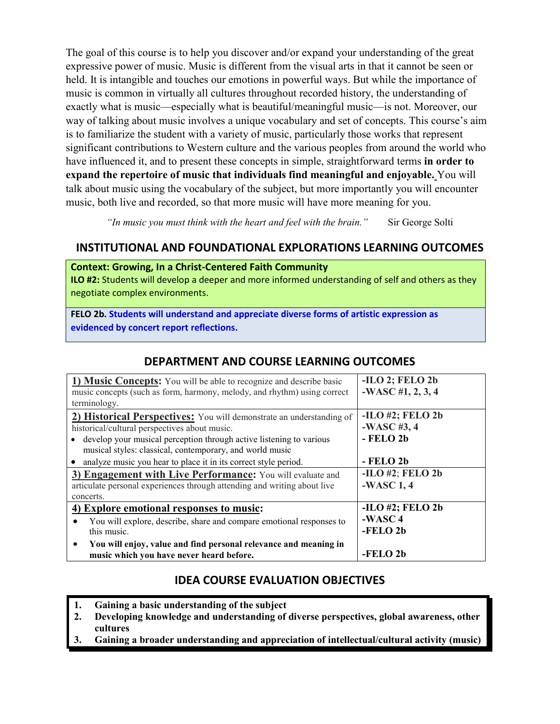The goal of this course is to help you discover and/or expand your understanding of the great expressive power of music. Music is different from the visual arts in that it cannot be seen or held. It is intangible and touches our emotions in powerful ways. But while the importance of music is common in virtually all cultures throughout recorded history, the understanding of exactly what is music—especially what is beautiful/meaningful music—is not. Moreover, our way of talking about music involves a unique vocabulary and set of concepts. This course's aim is to familiarize the student with a variety of music, particularly those works that represent significant contributions to Western culture and the various peoples from around the world who have influenced it, and to present these concepts in simple, straightforward terms **in order to expand the repertoire of music that individuals find meaningful and enjoyable.** You will talk about music using the vocabulary of the subject, but more importantly you will encounter music, both live and recorded, so that more music will have more meaning for you.

*"In music you must think with the heart and feel with the brain."* Sir George Solti

# **INSTITUTIONAL AND FOUNDATIONAL EXPLORATIONS LEARNING OUTCOMES**

#### **Context: Growing, In a Christ-Centered Faith Community**

**ILO #2:** Students will develop a deeper and more informed understanding of self and others as they negotiate complex environments.

**FELO 2b. Students will understand and appreciate diverse forms of artistic expression as evidenced by concert report reflections.**

| 1) Music Concepts: You will be able to recognize and describe basic      | $-ILO$ 2; FELO 2b   |  |
|--------------------------------------------------------------------------|---------------------|--|
| music concepts (such as form, harmony, melody, and rhythm) using correct | $-WASC #1, 2, 3, 4$ |  |
| terminology.                                                             |                     |  |
| 2) Historical Perspectives: You will demonstrate an understanding of     | $-ILO$ #2; FELO 2b  |  |
| historical/cultural perspectives about music.                            | $-WASC$ #3,4        |  |
| develop your musical perception through active listening to various      | $-$ FELO 2b         |  |
| musical styles: classical, contemporary, and world music                 |                     |  |
| analyze music you hear to place it in its correct style period.          | - FELO 2b           |  |
| 3) Engagement with Live Performance: You will evaluate and               | $-ILO$ #2; FELO 2b  |  |
| articulate personal experiences through attending and writing about live | $-WASC 1, 4$        |  |
| concerts.                                                                |                     |  |
| 4) Explore emotional responses to music:                                 | $-ILO$ #2; FELO 2b  |  |
| You will explore, describe, share and compare emotional responses to     | $-WASC 4$           |  |
| this music.                                                              | -FELO <sub>2b</sub> |  |
| You will enjoy, value and find personal relevance and meaning in<br>٠    |                     |  |
| music which you have never heard before.                                 | $-$ FELO 2b         |  |

## **DEPARTMENT AND COURSE LEARNING OUTCOMES**

## **IDEA COURSE EVALUATION OBJECTIVES**

- **1. Gaining a basic understanding of the subject**
- **2. Developing knowledge and understanding of diverse perspectives, global awareness, other cultures**
- **3. Gaining a broader understanding and appreciation of intellectual/cultural activity (music)**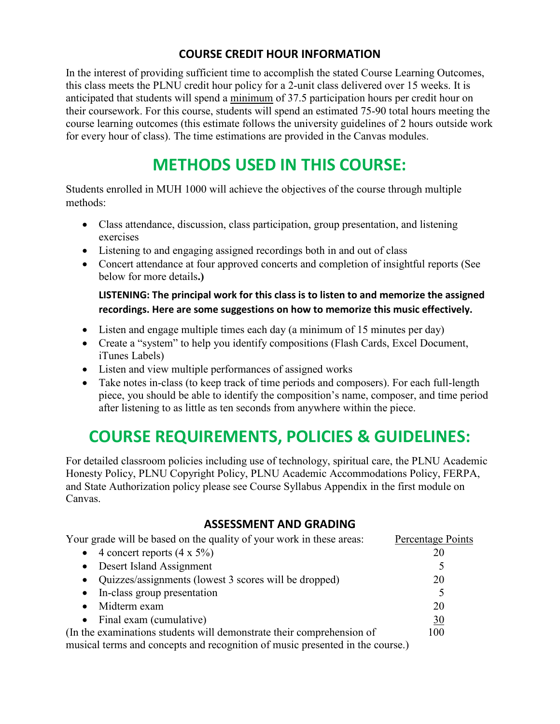# **COURSE CREDIT HOUR INFORMATION**

In the interest of providing sufficient time to accomplish the stated Course Learning Outcomes, this class meets the PLNU credit hour policy for a 2-unit class delivered over 15 weeks. It is anticipated that students will spend a minimum of 37.5 participation hours per credit hour on their coursework. For this course, students will spend an estimated 75-90 total hours meeting the course learning outcomes (this estimate follows the university guidelines of 2 hours outside work for every hour of class). The time estimations are provided in the Canvas modules.

# **METHODS USED IN THIS COURSE:**

Students enrolled in MUH 1000 will achieve the objectives of the course through multiple methods:

- Class attendance, discussion, class participation, group presentation, and listening exercises
- Listening to and engaging assigned recordings both in and out of class
- Concert attendance at four approved concerts and completion of insightful reports (See below for more details**.)**

**LISTENING: The principal work for this class is to listen to and memorize the assigned recordings. Here are some suggestions on how to memorize this music effectively.** 

- Listen and engage multiple times each day (a minimum of 15 minutes per day)
- Create a "system" to help you identify compositions (Flash Cards, Excel Document, iTunes Labels)
- Listen and view multiple performances of assigned works
- Take notes in-class (to keep track of time periods and composers). For each full-length piece, you should be able to identify the composition's name, composer, and time period after listening to as little as ten seconds from anywhere within the piece.

# **COURSE REQUIREMENTS, POLICIES & GUIDELINES:**

For detailed classroom policies including use of technology, spiritual care, the PLNU Academic Honesty Policy, PLNU Copyright Policy, PLNU Academic Accommodations Policy, FERPA, and State Authorization policy please see Course Syllabus Appendix in the first module on Canvas.

## **ASSESSMENT AND GRADING**

| Your grade will be based on the quality of your work in these areas:          | Percentage Points |
|-------------------------------------------------------------------------------|-------------------|
| • 4 concert reports $(4 \times 5\%)$                                          | 20                |
| • Desert Island Assignment                                                    |                   |
| • Quizzes/assignments (lowest 3 scores will be dropped)                       | 20                |
| • In-class group presentation                                                 |                   |
| Midterm exam<br>$\bullet$                                                     | 20                |
| • Final exam (cumulative)                                                     | 30                |
| (In the examinations students will demonstrate their comprehension of         | 100               |
| musical terms and concepts and recognition of music presented in the course.) |                   |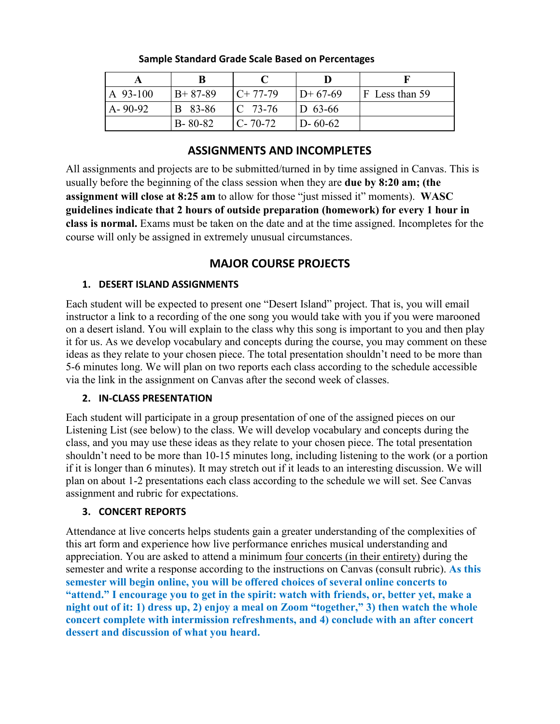| A 93-100      | $B+87-89$      | $C+77-79$          | $ID+67-69$    | $F$ Less than 59 |
|---------------|----------------|--------------------|---------------|------------------|
| $A - 90 - 92$ | <b>B</b> 83-86 | $\mathbb{C}$ 73-76 | $ D 63-66 $   |                  |
|               | $B - 80 - 82$  | $C - 70 - 72$      | $D - 60 - 62$ |                  |

#### **Sample Standard Grade Scale Based on Percentages**

### **ASSIGNMENTS AND INCOMPLETES**

All assignments and projects are to be submitted/turned in by time assigned in Canvas. This is usually before the beginning of the class session when they are **due by 8:20 am; (the assignment will close at 8:25 am** to allow for those "just missed it" moments). **WASC guidelines indicate that 2 hours of outside preparation (homework) for every 1 hour in class is normal.** Exams must be taken on the date and at the time assigned. Incompletes for the course will only be assigned in extremely unusual circumstances.

## **MAJOR COURSE PROJECTS**

### **1. DESERT ISLAND ASSIGNMENTS**

Each student will be expected to present one "Desert Island" project. That is, you will email instructor a link to a recording of the one song you would take with you if you were marooned on a desert island. You will explain to the class why this song is important to you and then play it for us. As we develop vocabulary and concepts during the course, you may comment on these ideas as they relate to your chosen piece. The total presentation shouldn't need to be more than 5-6 minutes long. We will plan on two reports each class according to the schedule accessible via the link in the assignment on Canvas after the second week of classes.

#### **2. IN-CLASS PRESENTATION**

Each student will participate in a group presentation of one of the assigned pieces on our Listening List (see below) to the class. We will develop vocabulary and concepts during the class, and you may use these ideas as they relate to your chosen piece. The total presentation shouldn't need to be more than 10-15 minutes long, including listening to the work (or a portion if it is longer than 6 minutes). It may stretch out if it leads to an interesting discussion. We will plan on about 1-2 presentations each class according to the schedule we will set. See Canvas assignment and rubric for expectations.

## **3. CONCERT REPORTS**

Attendance at live concerts helps students gain a greater understanding of the complexities of this art form and experience how live performance enriches musical understanding and appreciation. You are asked to attend a minimum four concerts (in their entirety) during the semester and write a response according to the instructions on Canvas (consult rubric). **As this semester will begin online, you will be offered choices of several online concerts to "attend." I encourage you to get in the spirit: watch with friends, or, better yet, make a night out of it: 1) dress up, 2) enjoy a meal on Zoom "together," 3) then watch the whole concert complete with intermission refreshments, and 4) conclude with an after concert dessert and discussion of what you heard.**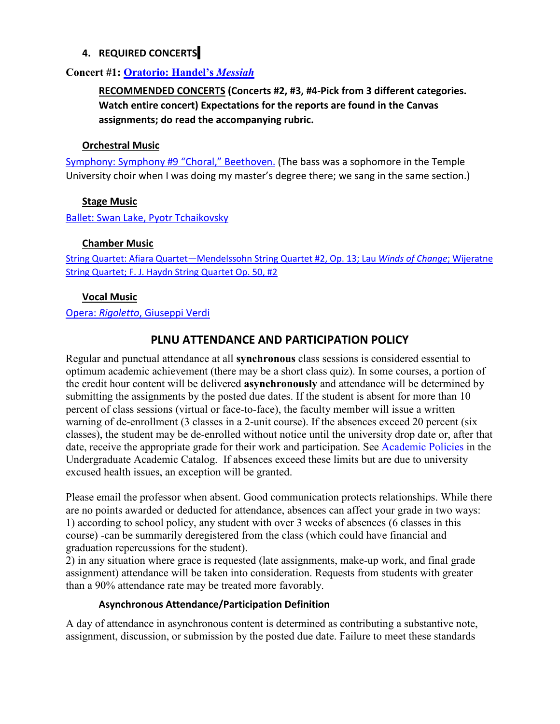#### **4. REQUIRED CONCERTS**

### **Concert #1: [Oratorio: Handel's](https://youtu.be/wLwmo6bFGzA)** *Messiah*

**RECOMMENDED CONCERTS (Concerts #2, #3, #4-Pick from 3 different categories. Watch entire concert) Expectations for the reports are found in the Canvas assignments; do read the accompanying rubric.**

#### **Orchestral Music**

[Symphony: Symphony #9 "Choral," Beethoven.](https://youtu.be/rOjHhS5MtvA?list=PLFhCyd0u4PXBp6ruLiFiqQY_KLYDngr4M) (The bass was a sophomore in the Temple University choir when I was doing my master's degree there; we sang in the same section.)

#### **Stage Music**

[Ballet: Swan Lake, Pyotr Tchaikovsky](https://youtu.be/9rJoB7y6Ncs)

#### **Chamber Music**

[String Quartet: Afiara Quartet—Mendelssohn](https://youtu.be/cF5W_6zw5Kg) String Quartet #2, Op. 13; Lau *Winds of Change*; Wijeratne [String Quartet; F. J. Haydn String Quartet Op. 50, #2](https://youtu.be/cF5W_6zw5Kg)

#### **Vocal Music**

#### Opera: *Rigoletto*[, Giuseppi Verdi](https://youtu.be/fYDI6MWkCW8)

## **PLNU ATTENDANCE AND PARTICIPATION POLICY**

Regular and punctual attendance at all **synchronous** class sessions is considered essential to optimum academic achievement (there may be a short class quiz). In some courses, a portion of the credit hour content will be delivered **asynchronously** and attendance will be determined by submitting the assignments by the posted due dates. If the student is absent for more than 10 percent of class sessions (virtual or face-to-face), the faculty member will issue a written warning of de-enrollment (3 classes in a 2-unit course). If the absences exceed 20 percent (six classes), the student may be de-enrolled without notice until the university drop date or, after that date, receive the appropriate grade for their work and participation. See [Academic Policies](https://catalog.pointloma.edu/content.php?catoid=46&navoid=2650#Class_Attendance) in the Undergraduate Academic Catalog. If absences exceed these limits but are due to university excused health issues, an exception will be granted.

Please email the professor when absent. Good communication protects relationships. While there are no points awarded or deducted for attendance, absences can affect your grade in two ways: 1) according to school policy, any student with over 3 weeks of absences (6 classes in this course) -can be summarily deregistered from the class (which could have financial and graduation repercussions for the student).

2) in any situation where grace is requested (late assignments, make-up work, and final grade assignment) attendance will be taken into consideration. Requests from students with greater than a 90% attendance rate may be treated more favorably.

#### **Asynchronous Attendance/Participation Definition**

A day of attendance in asynchronous content is determined as contributing a substantive note, assignment, discussion, or submission by the posted due date. Failure to meet these standards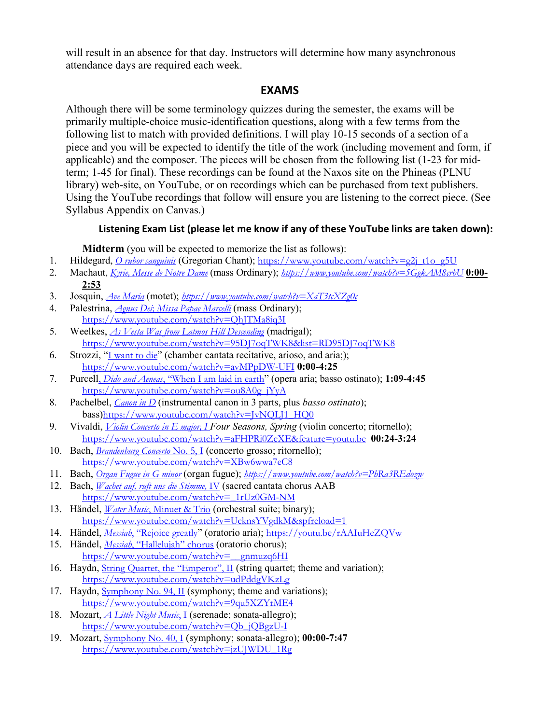will result in an absence for that day. Instructors will determine how many asynchronous attendance days are required each week.

### **EXAMS**

Although there will be some terminology quizzes during the semester, the exams will be primarily multiple-choice music-identification questions, along with a few terms from the following list to match with provided definitions. I will play 10-15 seconds of a section of a piece and you will be expected to identify the title of the work (including movement and form, if applicable) and the composer. The pieces will be chosen from the following list (1-23 for midterm; 1-45 for final). These recordings can be found at the Naxos site on the Phineas (PLNU library) web-site, on YouTube, or on recordings which can be purchased from text publishers. Using the YouTube recordings that follow will ensure you are listening to the correct piece. (See Syllabus Appendix on Canvas.)

#### **Listening Exam List (please let me know if any of these YouTube links are taken down):**

**Midterm** (you will be expected to memorize the list as follows):

- 1. Hildegard, *[O rubor sanguinis](https://www.youtube.com/watch?v=g2j_t1o_g5U)* (Gregorian Chant); [https://www.youtube.com/watch?v=g2j\\_t1o\\_g5U](https://www.youtube.com/watch?v=g2j_t1o_g5U)
- 2. Machaut, *[Kyrie, Messe de Notre Dame](https://www.youtube.com/watch?v=5GgkAM8crbU)* (mass Ordinary); *<https://www.youtube.com/watch?v=5GgkAM8crbU>* **0:00- 2:53**
- 3. Josquin, *Ave [Maria](https://www.youtube.com/watch?v=qUNzi900ZJw)* (motet); *[https://www.youtube.com/watch?v=XaT3tcXZg0c](https://www.youtube.com/watch?v=qUNzi900ZJw)*
- 4. Palestrina, *Agnus Dei*; *[Missa Papae Marcelli](https://www.youtube.com/watch?v=QhJTMa8iq3I)* (mass Ordinary); <https://www.youtube.com/watch?v=QhJTMa8iq3I>
- 5. Weelkes, *[As Vesta Was from Latmos Hill Descending](https://www.youtube.com/watch?v=95DJ7oqTWK8&list=RD95DJ7oqTWK8)* (madrigal); <https://www.youtube.com/watch?v=95DJ7oqTWK8&list=RD95DJ7oqTWK8>
- 6. Strozzi, "[I want to die](https://www.youtube.com/watch?v=avMPpDW-UFI)" (chamber cantata recitative, arioso, and aria;); <https://www.youtube.com/watch?v=avMPpDW-UFI> **0:00-4:25**
- 7. Purcell, *Dido and Aeneas*[, "When I am laid in earth](https://www.youtube.com/watch?v=ou8A0g_jYyA)" (opera aria; basso ostinato); **1:09-4:45** [https://www.youtube.com/watch?v=ou8A0g\\_jYyA](https://www.youtube.com/watch?v=ou8A0g_jYyA)
- 8. Pachelbel, *[Canon in D](https://youtu.be/JvNQLJ1_HQ0)* (instrumental canon in 3 parts, plus *basso ostinato*); bass)[https://www.youtube.com/watch?v=JvNQLJ1\\_HQ0](https://www.youtube.com/watch?v=JvNQLJ1_HQ0)
- 9. Vivaldi, *[Violin Concerto in E major, I](https://youtu.be/aFHPRi0ZeXE) Four Seasons, Spring* (violin concerto; ritornello); <https://www.youtube.com/watch?v=aFHPRi0ZeXE&feature=youtu.be> **00:24-3:24**
- 10. Bach, *[Brandenburg Concerto](https://www.youtube.com/watch?v=XBw6wwa7eC8)* No. 5, I (concerto grosso; ritornello); <https://www.youtube.com/watch?v=XBw6wwa7eC8>
- 11. Bach, *[Organ Fugue in G minor](https://www.youtube.com/watch?v=PhRa3REdozw)* (organ fugue); *<https://www.youtube.com/watch?v=PhRa3REdozw>*
- 12. Bach, *[Wachet auf, ruft uns die Stimme,](https://www.youtube.com/watch?v=_1rUz0GM-NM)* IV (sacred cantata chorus AAB [https://www.youtube.com/watch?v=\\_1rUz0GM-NM](https://www.youtube.com/watch?v=_1rUz0GM-NM)
- 13. Händel, *Water Music*[, Minuet & Trio](https://www.youtube.com/watch?v=HFXckl6lCkE) (orchestral suite; binary); [https://www.youtube.com/watch?v=UcknsYVgdkM&spfreload=1](https://www.youtube.com/watch?v=HFXckl6lCkE)
- 14. Händel, *Messiah*[, "Rejoice greatly](https://youtu.be/rAAIuHeZQVw)" (oratorio aria); <https://youtu.be/rAAIuHeZQVw>
- 15. Händel, *Messiah*[, "Hallelujah" chorus](https://www.youtube.com/watch?v=__gnmuzq6HI) (oratorio chorus); [https://www.youtube.com/watch?v=\\_\\_gnmuzq6HI](https://www.youtube.com/watch?v=__gnmuzq6HI)
- 16. Haydn, *[String Quartet, the "Emperor", II](https://www.youtube.com/watch?v=udPddgVKzLg)* (string quartet; theme and variation); <https://www.youtube.com/watch?v=udPddgVKzLg>
- 17. Haydn, [Symphony No. 94, II](https://www.youtube.com/watch?v=9qu5XZYrME4) (symphony; theme and variations); <https://www.youtube.com/watch?v=9qu5XZYrME4>
- 18. Mozart, *[A Little Night Music](https://www.youtube.com/watch?v=Qb_jQBgzU-I)*, I (serenade; sonata-allegro); [https://www.youtube.com/watch?v=Qb\\_jQBgzU-I](https://www.youtube.com/watch?v=Qb_jQBgzU-I)
- 19. Mozart, [Symphony No. 40, I](https://www.youtube.com/watch?v=jzUJWDU_1Rg) (symphony; sonata-allegro); **00:00-7:47**  [https://www.youtube.com/watch?v=jzUJWDU\\_1Rg](https://www.youtube.com/watch?v=jzUJWDU_1Rg)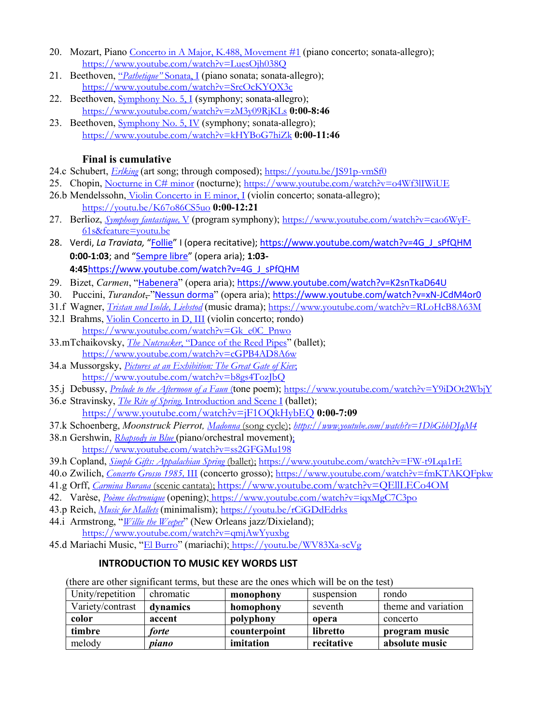- 20. Mozart, Piano [Concerto in A Major, K.488, Movement #1](https://youtu.be/LuesOjh038Q) (piano concerto; sonata-allegro); <https://www.youtube.com/watch?v=LuesOjh038Q>
- 21. Beethoven, "*[Pathetique"](https://www.youtube.com/watch?v=SrcOcKYQX3c)* Sonata, I (piano sonata; sonata-allegro); <https://www.youtube.com/watch?v=SrcOcKYQX3c>
- 22. Beethoven, [Symphony No. 5, I](https://www.youtube.com/watch?v=zM3y09RjKLs) (symphony; sonata-allegro); <https://www.youtube.com/watch?v=zM3y09RjKLs> **0:00-8:46**
- 23. Beethoven, [Symphony No. 5, IV](https://www.youtube.com/watch?v=kHYBoG7hiZk) (symphony; sonata-allegro); <https://www.youtube.com/watch?v=kHYBoG7hiZk> **0:00-11:46**

### **Final is cumulative**

- 24.c Schubert, *[Erlking](https://youtu.be/JS91p-vmSf0)* (art song; through composed); <https://youtu.be/JS91p-vmSf0>
- 25. Chopin, [Nocturne in C# minor](https://www.youtube.com/watch?v=o4Wf3lIWiUE) (nocturne); <https://www.youtube.com/watch?v=o4Wf3lIWiUE>
- 26.b Mendelssohn, [Violin Concerto in E minor, I](https://youtu.be/K67o86CS5uo) (violin concerto; sonata-allegro); <https://youtu.be/K67o86CS5uo> **0:00-12:21**
- 27. Berlioz, *[Symphony fantastique,](https://youtu.be/cao6WyF-61s)* V (program symphony); [https://www.youtube.com/watch?v=cao6WyF-](https://www.youtube.com/watch?v=cao6WyF-61s&feature=youtu.be)[61s&feature=youtu.be](https://www.youtube.com/watch?v=cao6WyF-61s&feature=youtu.be)
- 28. Verdi, *La Traviata,* ["Follie"](https://www.youtube.com/watch?v=4G_J_sPfQHM) I (opera recitative); [https://www.youtube.com/watch?v=4G\\_J\\_sPfQHM](https://www.youtube.com/watch?v=4G_J_sPfQHM) **0:00-1:03**; and ["Sempre libre"](https://www.youtube.com/watch?v=4G_J_sPfQHM) (opera aria); **1:03- 4:45**[https://www.youtube.com/watch?v=4G\\_J\\_sPfQHM](https://www.youtube.com/watch?v=4G_J_sPfQHM)
- 29. Bizet, *Carmen*, "[Habenera](https://www.youtube.com/watch?v=K2snTkaD64U)" (opera aria); <https://www.youtube.com/watch?v=K2snTkaD64U>
- 30. Puccini, *Turandot*, "[Nessun dorma](https://www.youtube.com/watch?v=xN-JCdM4or0)" (opera aria); <https://www.youtube.com/watch?v=xN-JCdM4or0>
- 31.f Wagner, *[Tristan und Isolde, Liebstod](https://www.youtube.com/watch?v=RLoHcB8A63M)* (music drama); <https://www.youtube.com/watch?v=RLoHcB8A63M>
- 32.l Brahms, [Violin Concerto in D, III](https://www.youtube.com/watch?v=Gk_e0C_Pnwo) (violin concerto; rondo) [https://www.youtube.com/watch?v=Gk\\_e0C\\_Pnwo](https://www.youtube.com/watch?v=Gk_e0C_Pnwo)
- 33.mTchaikovsky, *The Nutcracker*[, "Dance of the Reed Pipes](https://www.youtube.com/watch?v=cGPB4AD8A6w)" (ballet); <https://www.youtube.com/watch?v=cGPB4AD8A6w>
- 34.a Mussorgsky, *[Pictures at an Exhibition: The Great Gate of Kiev](https://www.youtube.com/watch?v=b8gs4TozJbQ)*; <https://www.youtube.com/watch?v=b8gs4TozJbQ>
- 35.j Debussy, *[Prelude to the Afternoon of a Faun](https://www.youtube.com/watch?v=Y9iDOt2WbjY)* (tone poem); <https://www.youtube.com/watch?v=Y9iDOt2WbjY>
- 36.e Stravinsky, *The Rite of Spring,* [Introduction and Scene I](https://www.youtube.com/watch?v=jF1OQkHybEQ) (ballet); <https://www.youtube.com/watch?v=jF1OQkHybEQ> **0:00-7:09**
- 37.k Schoenberg, *Moonstruck Pierrot, [Madonna](https://www.youtube.com/watch?v=1DbGhbDJqM4)* (song cycle); *<https://www.youtube.com/watch?v=1DbGhbDJqM4>*
- 38.n Gershwin, *[Rhapsody in Blue](https://www.youtube.com/watch?v=ss2GFGMu198)* (piano/orchestral movement); <https://www.youtube.com/watch?v=ss2GFGMu198>
- 39.h Copland, *[Simple Gifts: Appalachian Spring](https://www.youtube.com/watch?v=FW-t9Lqa1rE)* (ballet); <https://www.youtube.com/watch?v=FW-t9Lqa1rE>
- 40.o Zwilich, *[Concerto Grosso 1985,](https://www.youtube.com/watch?v=fmKTAKQFpkw)* III (concerto grosso); <https://www.youtube.com/watch?v=fmKTAKQFpkw>
- 41.g Orff, *[Carmina Burana](https://www.youtube.com/watch?v=QEllLECo4OM)* (scenic cantata); <https://www.youtube.com/watch?v=QEllLECo4OM>
- 42. Varèse, *[Poème électronique](https://www.youtube.com/watch?v=iqxMgC7C3po)* (opening); <https://www.youtube.com/watch?v=iqxMgC7C3po>
- 43.p Reich, *[Music for Mallets](https://youtu.be/rCiGDdEdrks)* (minimalism); <https://youtu.be/rCiGDdEdrks>
- 44.i Armstrong, "*[Willie the Weeper](https://www.youtube.com/watch?v=qmjAwYyuxbg)*" (New Orleans jazz/Dixieland); <https://www.youtube.com/watch?v=qmjAwYyuxbg>
- 45.d Mariachi Music, "[El Burro](https://youtu.be/WV83Xa-scVg)" (mariachi); <https://youtu.be/WV83Xa-scVg>

## **INTRODUCTION TO MUSIC KEY WORDS LIST**

(there are other significant terms, but these are the ones which will be on the test)

| Unity/repetition | chromatic | monophony<br>rondo<br>suspension |            |                     |
|------------------|-----------|----------------------------------|------------|---------------------|
| Variety/contrast | dynamics  | homophony<br>seventh             |            | theme and variation |
| color            | accent    | polyphony                        | opera      | concerto            |
| timbre           | forte     | counterpoint                     | libretto   | program music       |
| melody           | piano     | imitation                        | recitative | absolute music      |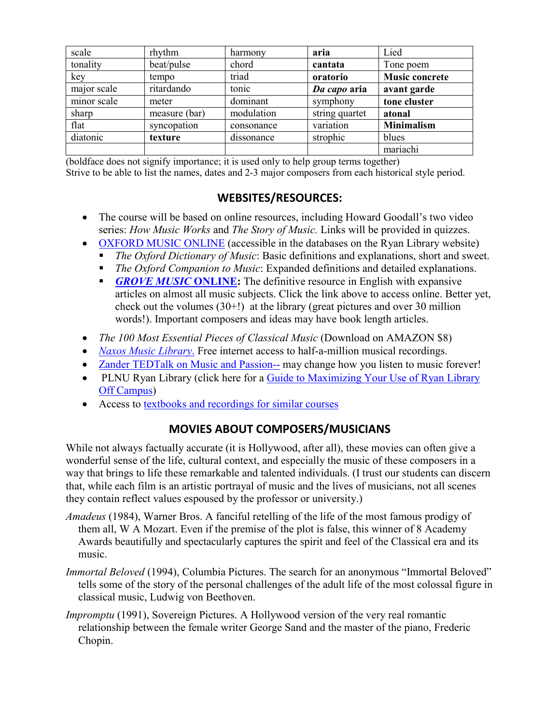| scale       | rhythm        | harmony    | aria           | Lied                  |
|-------------|---------------|------------|----------------|-----------------------|
| tonality    | beat/pulse    | chord      | cantata        | Tone poem             |
| key         | tempo         | triad      | oratorio       | <b>Music concrete</b> |
| major scale | ritardando    | tonic      | Da capo aria   | avant garde           |
| minor scale | meter         | dominant   | symphony       | tone cluster          |
| sharp       | measure (bar) | modulation | string quartet | atonal                |
| flat        | syncopation   | consonance | variation      | <b>Minimalism</b>     |
| diatonic    | texture       | dissonance | strophic       | blues                 |
|             |               |            |                | mariachi              |

(boldface does not signify importance; it is used only to help group terms together) Strive to be able to list the names, dates and 2-3 major composers from each historical style period.

## **WEBSITES/RESOURCES:**

- The course will be based on online resources, including Howard Goodall's two video series: *How Music Works* and *The Story of Music.* Links will be provided in quizzes.
- [OXFORD MUSIC ONLINE](https://www-oxfordmusiconline-com.pointloma.idm.oclc.org/) (accessible in the databases on the Ryan Library website)
	- *The Oxford Dictionary of Music*: Basic definitions and explanations, short and sweet.
	- *The Oxford Companion to Music*: Expanded definitions and detailed explanations.
	- **[GROVE MUSIC](https://www-oxfordmusiconline-com.pointloma.idm.oclc.org/) ONLINE:** The definitive resource in English with expansive articles on almost all music subjects. Click the link above to access online. Better yet, check out the volumes (30+!) at the library (great pictures and over 30 million words!). Important composers and ideas may have book length articles.
- *The 100 Most Essential Pieces of Classical Music* (Download on AMAZON \$8)
- *[Naxos Music Library](https://pointloma-nml3-naxosmusiclibrary-com.pointloma.idm.oclc.org/)*. Free internet access to half-a-million musical recordings.
- [Zander TEDTalk on Music and Passion--](http://www.ted.com/talks/benjamin_zander_on_music_and_passion) may change how you listen to music forever!
- PLNU Ryan Library (click here for a Guide to Maximizing Your Use of Ryan Library [Off Campus\)](https://www.pointloma.edu/resources/undergraduate-studies/your-guide-maximizing-your-use-ryan-library-campus)
- Access to [textbooks and recordings for similar courses](http://music.wadsworth.com/)

# **MOVIES ABOUT COMPOSERS/MUSICIANS**

While not always factually accurate (it is Hollywood, after all), these movies can often give a wonderful sense of the life, cultural context, and especially the music of these composers in a way that brings to life these remarkable and talented individuals. (I trust our students can discern that, while each film is an artistic portrayal of music and the lives of musicians, not all scenes they contain reflect values espoused by the professor or university.)

- *Amadeus* (1984), Warner Bros. A fanciful retelling of the life of the most famous prodigy of them all, W A Mozart. Even if the premise of the plot is false, this winner of 8 Academy Awards beautifully and spectacularly captures the spirit and feel of the Classical era and its music.
- *Immortal Beloved* (1994), Columbia Pictures. The search for an anonymous "Immortal Beloved" tells some of the story of the personal challenges of the adult life of the most colossal figure in classical music, Ludwig von Beethoven.
- *Impromptu* (1991), Sovereign Pictures. A Hollywood version of the very real romantic relationship between the female writer George Sand and the master of the piano, Frederic Chopin.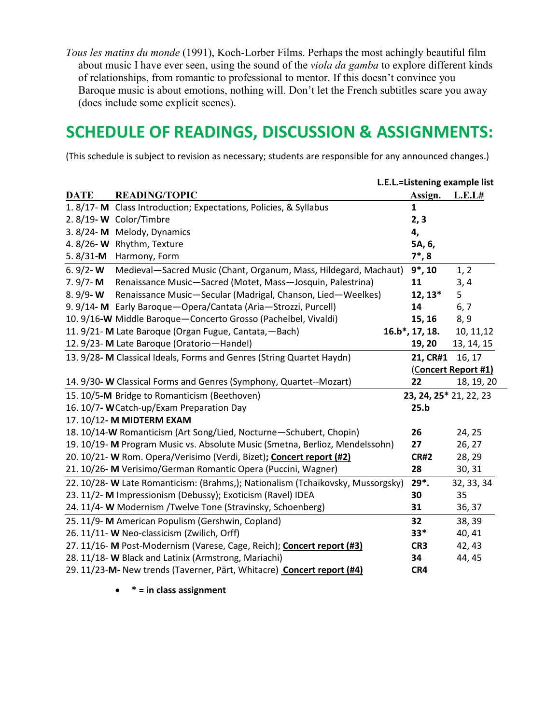*Tous les matins du monde* (1991), Koch-Lorber Films. Perhaps the most achingly beautiful film about music I have ever seen, using the sound of the *viola da gamba* to explore different kinds of relationships, from romantic to professional to mentor. If this doesn't convince you Baroque music is about emotions, nothing will. Don't let the French subtitles scare you away (does include some explicit scenes).

# **SCHEDULE OF READINGS, DISCUSSION & ASSIGNMENTS:**

(This schedule is subject to revision as necessary; students are responsible for any announced changes.)

| L.E.L.=Listening example list            |                                                                                 |                    |                        |
|------------------------------------------|---------------------------------------------------------------------------------|--------------------|------------------------|
| <b>DATE</b>                              | <b>READING/TOPIC</b>                                                            | Assign.            | L.E.L#                 |
| 1. $8/17 - M$                            | Class Introduction; Expectations, Policies, & Syllabus                          | $\mathbf{1}$       |                        |
|                                          | 2.8/19-W Color/Timbre                                                           | 2, 3               |                        |
|                                          | 3.8/24-M Melody, Dynamics                                                       | 4,                 |                        |
| 4.8/26-W                                 | Rhythm, Texture                                                                 | 5A, 6,             |                        |
| 5.8/31-M                                 | Harmony, Form                                                                   | $7^*$ , 8          |                        |
| 6.9/2-W                                  | Medieval-Sacred Music (Chant, Organum, Mass, Hildegard, Machaut)                | $9*$ , 10          | 1, 2                   |
| $7.9/7 - M$                              | Renaissance Music-Sacred (Motet, Mass-Josquin, Palestrina)                      | 11                 | 3, 4                   |
| $8.9/9 - W$                              | Renaissance Music-Secular (Madrigal, Chanson, Lied-Weelkes)                     | $12, 13*$          | 5                      |
|                                          | 9. 9/14- M Early Baroque-Opera/Cantata (Aria-Strozzi, Purcell)                  | 14                 | 6, 7                   |
|                                          | 10. 9/16-W Middle Baroque-Concerto Grosso (Pachelbel, Vivaldi)                  | 15, 16             | 8, 9                   |
|                                          | 11. 9/21- M Late Baroque (Organ Fugue, Cantata, - Bach)                         | $16.b^*$ , 17, 18. | 10, 11, 12             |
|                                          | 12. 9/23- M Late Baroque (Oratorio-Handel)                                      | 19, 20             | 13, 14, 15             |
|                                          | 13. 9/28- M Classical Ideals, Forms and Genres (String Quartet Haydn)           | 21, CR#1           | 16, 17                 |
|                                          |                                                                                 |                    | (Concert Report #1)    |
|                                          | 14. 9/30- W Classical Forms and Genres (Symphony, Quartet--Mozart)              | 22                 | 18, 19, 20             |
|                                          | 15. 10/5-M Bridge to Romanticism (Beethoven)                                    |                    | 23, 24, 25* 21, 22, 23 |
| 16. 10/7- WCatch-up/Exam Preparation Day |                                                                                 |                    |                        |
|                                          | 17. 10/12- M MIDTERM EXAM                                                       |                    |                        |
|                                          | 18. 10/14-W Romanticism (Art Song/Lied, Nocturne-Schubert, Chopin)              | 26                 | 24, 25                 |
|                                          | 19. 10/19- M Program Music vs. Absolute Music (Smetna, Berlioz, Mendelssohn)    | 27                 | 26, 27                 |
|                                          | 20. 10/21- W Rom. Opera/Verisimo (Verdi, Bizet); Concert report (#2)            | <b>CR#2</b>        | 28, 29                 |
|                                          | 21. 10/26-M Verisimo/German Romantic Opera (Puccini, Wagner)                    | 28                 | 30, 31                 |
|                                          | 22. 10/28- W Late Romanticism: (Brahms,); Nationalism (Tchaikovsky, Mussorgsky) | $29*$ .            | 32, 33, 34             |
|                                          | 23. 11/2- M Impressionism (Debussy); Exoticism (Ravel) IDEA                     | 30                 | 35                     |
|                                          | 24. 11/4- W Modernism / Twelve Tone (Stravinsky, Schoenberg)                    | 31                 | 36, 37                 |
|                                          | 25. 11/9- M American Populism (Gershwin, Copland)                               | 32                 | 38, 39                 |
|                                          | 26. 11/11- W Neo-classicism (Zwilich, Orff)                                     | $33*$              | 40, 41                 |
|                                          | 27. 11/16- M Post-Modernism (Varese, Cage, Reich); Concert report (#3)          | CR3                | 42, 43                 |
|                                          | 28. 11/18- W Black and Latinix (Armstrong, Mariachi)                            | 34                 | 44, 45                 |
|                                          | 29. 11/23-M- New trends (Taverner, Pärt, Whitacre) Concert report (#4)          | CR4                |                        |

• **\* = in class assignment**